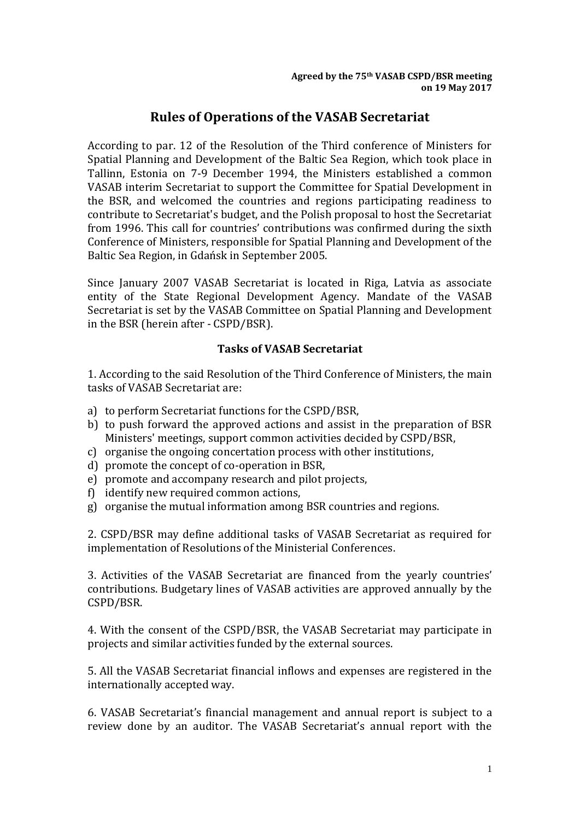## **Rules of Operations of the VASAB Secretariat**

According to par. 12 of the Resolution of the Third conference of Ministers for Spatial Planning and Development of the Baltic Sea Region, which took place in Tallinn, Estonia on 7-9 December 1994, the Ministers established a common VASAB interim Secretariat to support the Committee for Spatial Development in the BSR, and welcomed the countries and regions participating readiness to contribute to Secretariat's budget, and the Polish proposal to host the Secretariat from 1996. This call for countries' contributions was confirmed during the sixth Conference of Ministers, responsible for Spatial Planning and Development of the Baltic Sea Region, in Gdańsk in September 2005.

Since January 2007 VASAB Secretariat is located in Riga, Latvia as associate entity of the State Regional Development Agency. Mandate of the VASAB Secretariat is set by the VASAB Committee on Spatial Planning and Development in the BSR (herein after - CSPD/BSR).

## **Tasks of VASAB Secretariat**

1. According to the said Resolution of the Third Conference of Ministers, the main tasks of VASAB Secretariat are:

- a) to perform Secretariat functions for the CSPD/BSR,
- b) to push forward the approved actions and assist in the preparation of BSR Ministers' meetings, support common activities decided by CSPD/BSR,
- c) organise the ongoing concertation process with other institutions,
- d) promote the concept of co-operation in BSR,
- e) promote and accompany research and pilot projects,
- f) identify new required common actions,
- g) organise the mutual information among BSR countries and regions.

2. CSPD/BSR may define additional tasks of VASAB Secretariat as required for implementation of Resolutions of the Ministerial Conferences.

3. Activities of the VASAB Secretariat are financed from the yearly countries' contributions. Budgetary lines of VASAB activities are approved annually by the CSPD/BSR.

4. With the consent of the CSPD/BSR, the VASAB Secretariat may participate in projects and similar activities funded by the external sources.

5. All the VASAB Secretariat financial inflows and expenses are registered in the internationally accepted way.

6. VASAB Secretariat's financial management and annual report is subject to a review done by an auditor. The VASAB Secretariat's annual report with the